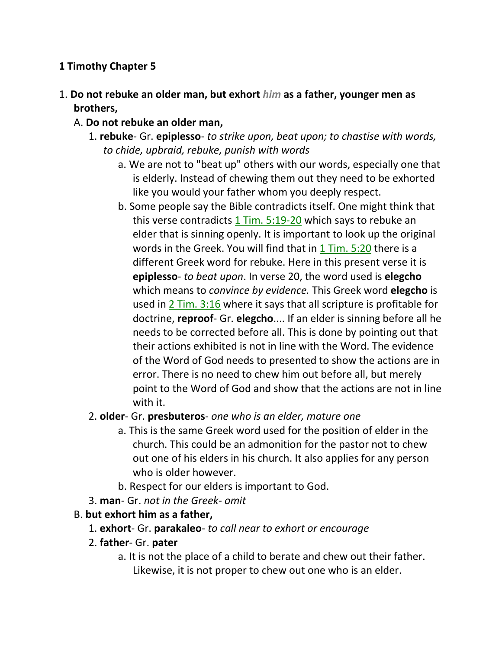### **1 Timothy Chapter 5**

- 1. **Do not rebuke an older man, but exhort** *him* **as a father, younger men as brothers,** 
	- A. **Do not rebuke an older man,**
		- 1. **rebuke** Gr. **epiplesso** *to strike upon, beat upon; to chastise with words, to chide, upbraid, rebuke, punish with words*
			- a. We are not to "beat up" others with our words, especially one that is elderly. Instead of chewing them out they need to be exhorted like you would your father whom you deeply respect.
			- b. Some people say the Bible contradicts itself. One might think that this verse contradicts 1 Tim. 5:19-20 which says to rebuke an elder that is sinning openly. It is important to look up the original words in the Greek. You will find that in 1 Tim. 5:20 there is a different Greek word for rebuke. Here in this present verse it is **epiplesso**- *to beat upon*. In verse 20, the word used is **elegcho** which means to *convince by evidence.* This Greek word **elegcho** is used in 2 Tim. 3:16 where it says that all scripture is profitable for doctrine, **reproof**- Gr. **elegcho**.... If an elder is sinning before all he needs to be corrected before all. This is done by pointing out that their actions exhibited is not in line with the Word. The evidence of the Word of God needs to presented to show the actions are in error. There is no need to chew him out before all, but merely point to the Word of God and show that the actions are not in line with it.

### 2. **older**- Gr. **presbuteros**- *one who is an elder, mature one*

- a. This is the same Greek word used for the position of elder in the church. This could be an admonition for the pastor not to chew out one of his elders in his church. It also applies for any person who is older however.
- b. Respect for our elders is important to God.
- 3. **man** Gr. *not in the Greek- omit*

### B. **but exhort him as a father,**

- 1. **exhort** Gr. **parakaleo** *to call near to exhort or encourage*
- 2. **father** Gr. **pater**
	- a. It is not the place of a child to berate and chew out their father. Likewise, it is not proper to chew out one who is an elder.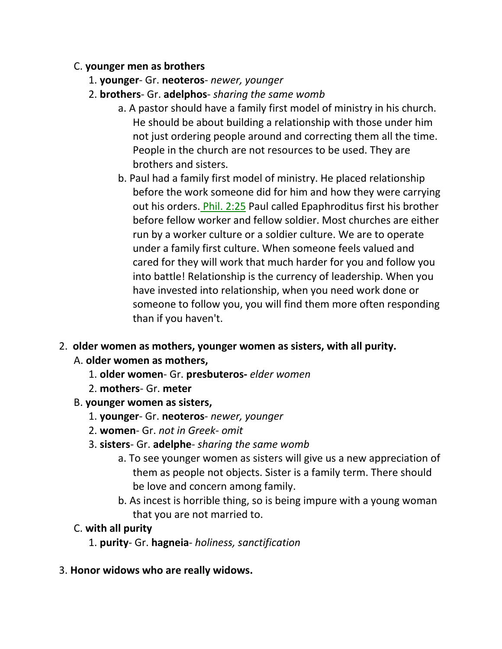#### C. **younger men as brothers**

- 1. **younger** Gr. **neoteros** *newer, younger*
- 2. **brothers** Gr. **adelphos** *sharing the same womb*
	- a. A pastor should have a family first model of ministry in his church. He should be about building a relationship with those under him not just ordering people around and correcting them all the time. People in the church are not resources to be used. They are brothers and sisters.
	- b. Paul had a family first model of ministry. He placed relationship before the work someone did for him and how they were carrying out his orders. Phil. 2:25 Paul called Epaphroditus first his brother before fellow worker and fellow soldier. Most churches are either run by a worker culture or a soldier culture. We are to operate under a family first culture. When someone feels valued and cared for they will work that much harder for you and follow you into battle! Relationship is the currency of leadership. When you have invested into relationship, when you need work done or someone to follow you, you will find them more often responding than if you haven't.

### 2. **older women as mothers, younger women as sisters, with all purity.**

### A. **older women as mothers,**

- 1. **older women** Gr. **presbuteros-** *elder women*
- 2. **mothers** Gr. **meter**
- B. **younger women as sisters,**
	- 1. **younger** Gr. **neoteros** *newer, younger*
	- 2. **women** Gr. *not in Greek- omit*
	- 3. **sisters** Gr. **adelphe** *sharing the same womb*
		- a. To see younger women as sisters will give us a new appreciation of them as people not objects. Sister is a family term. There should be love and concern among family.
		- b. As incest is horrible thing, so is being impure with a young woman that you are not married to.

### C. **with all purity**

- 1. **purity** Gr. **hagneia** *holiness, sanctification*
- 3. **Honor widows who are really widows.**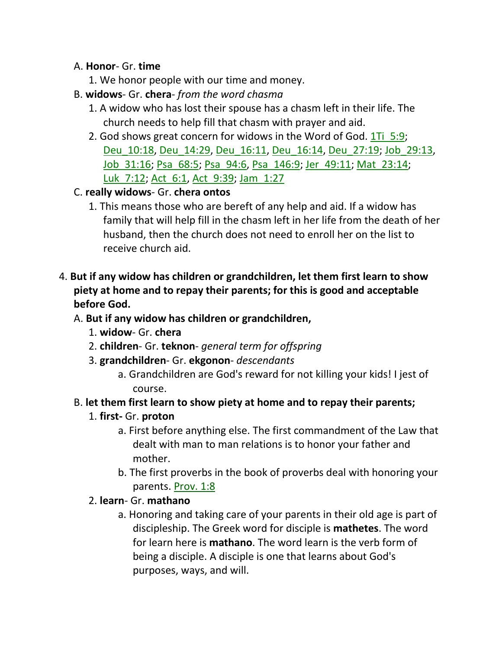#### A. **Honor**- Gr. **time**

- 1. We honor people with our time and money.
- B. **widows** Gr. **chera** *from the word chasma*
	- 1. A widow who has lost their spouse has a chasm left in their life. The church needs to help fill that chasm with prayer and aid.
	- 2. God shows great concern for widows in the Word of God. 1Ti 5:9; Deu\_10:18, Deu\_14:29, Deu\_16:11, Deu\_16:14, Deu\_27:19; Job\_29:13, Job\_31:16; Psa\_68:5; Psa\_94:6, Psa\_146:9; Jer\_49:11; Mat\_23:14; Luk 7:12; Act 6:1, Act 9:39; Jam 1:27
- C. **really widows** Gr. **chera ontos**
	- 1. This means those who are bereft of any help and aid. If a widow has family that will help fill in the chasm left in her life from the death of her husband, then the church does not need to enroll her on the list to receive church aid.
- 4. **But if any widow has children or grandchildren, let them first learn to show piety at home and to repay their parents; for this is good and acceptable before God.**

#### A. **But if any widow has children or grandchildren,**

- 1. **widow** Gr. **chera**
- 2. **children** Gr. **teknon** *general term for offspring*
- 3. **grandchildren** Gr. **ekgonon** *descendants*
	- a. Grandchildren are God's reward for not killing your kids! I jest of course.

### B. **let them first learn to show piety at home and to repay their parents;**

- 1. **first-** Gr. **proton**
	- a. First before anything else. The first commandment of the Law that dealt with man to man relations is to honor your father and mother.
	- b. The first proverbs in the book of proverbs deal with honoring your parents. Prov. 1:8
- 2. **learn** Gr. **mathano**
	- a. Honoring and taking care of your parents in their old age is part of discipleship. The Greek word for disciple is **mathetes**. The word for learn here is **mathano**. The word learn is the verb form of being a disciple. A disciple is one that learns about God's purposes, ways, and will.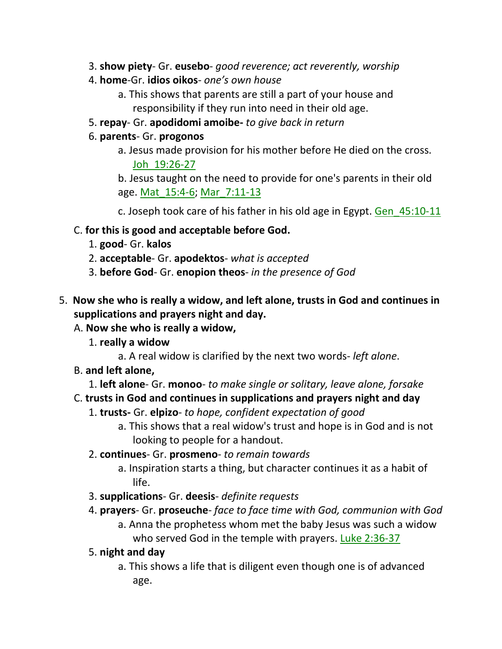- 3. **show piety** Gr. **eusebo** *good reverence; act reverently, worship*
- 4. **home**-Gr. **idios oikos** *one's own house*
	- a. This shows that parents are still a part of your house and responsibility if they run into need in their old age.
- 5. **repay** Gr. **apodidomi amoibe-** *to give back in return*
- 6. **parents** Gr. **progonos**
	- a. Jesus made provision for his mother before He died on the cross. Joh\_19:26-27

b. Jesus taught on the need to provide for one's parents in their old age. Mat\_15:4-6; Mar\_7:11-13

c. Joseph took care of his father in his old age in Egypt. Gen 45:10-11

- C. **for this is good and acceptable before God.**
	- 1. **good** Gr. **kalos**
	- 2. **acceptable** Gr. **apodektos** *what is accepted*
	- 3. **before God** Gr. **enopion theos** *in the presence of God*
- 5. **Now she who is really a widow, and left alone, trusts in God and continues in supplications and prayers night and day.** 
	- A. **Now she who is really a widow,**
		- 1. **really a widow**
			- a. A real widow is clarified by the next two words- *left alone*.
	- B. **and left alone,**
		- 1. **left alone** Gr. **monoo** *to make single or solitary, leave alone, forsake*

# C. **trusts in God and continues in supplications and prayers night and day**

- 1. **trusts-** Gr. **elpizo** *to hope, confident expectation of good*
	- a. This shows that a real widow's trust and hope is in God and is not looking to people for a handout.
- 2. **continues** Gr. **prosmeno** *to remain towards*
	- a. Inspiration starts a thing, but character continues it as a habit of life.
- 3. **supplications** Gr. **deesis** *definite requests*
- 4. **prayers** Gr. **proseuche** *face to face time with God, communion with God* a. Anna the prophetess whom met the baby Jesus was such a widow who served God in the temple with prayers. Luke 2:36-37
- 5. **night and day**
	- a. This shows a life that is diligent even though one is of advanced age.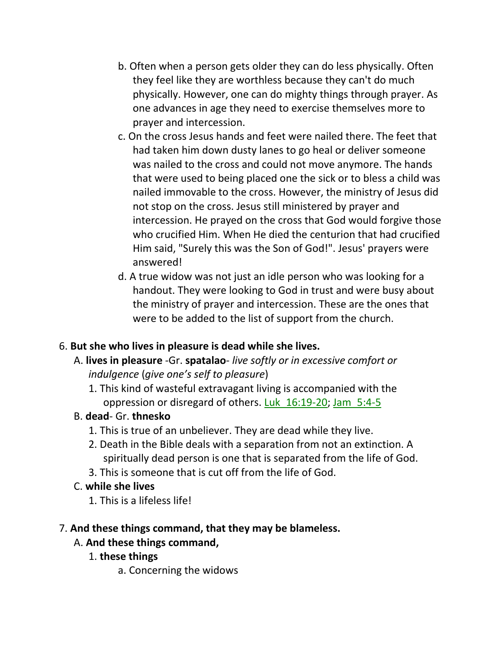- b. Often when a person gets older they can do less physically. Often they feel like they are worthless because they can't do much physically. However, one can do mighty things through prayer. As one advances in age they need to exercise themselves more to prayer and intercession.
- c. On the cross Jesus hands and feet were nailed there. The feet that had taken him down dusty lanes to go heal or deliver someone was nailed to the cross and could not move anymore. The hands that were used to being placed one the sick or to bless a child was nailed immovable to the cross. However, the ministry of Jesus did not stop on the cross. Jesus still ministered by prayer and intercession. He prayed on the cross that God would forgive those who crucified Him. When He died the centurion that had crucified Him said, "Surely this was the Son of God!". Jesus' prayers were answered!
- d. A true widow was not just an idle person who was looking for a handout. They were looking to God in trust and were busy about the ministry of prayer and intercession. These are the ones that were to be added to the list of support from the church.

# 6. **But she who lives in pleasure is dead while she lives.**

- A. **lives in pleasure** -Gr. **spatalao** *live softly or in excessive comfort or indulgence* (*give one's self to pleasure*)
	- 1. This kind of wasteful extravagant living is accompanied with the oppression or disregard of others. Luk\_16:19-20; Jam\_5:4-5

### B. **dead**- Gr. **thnesko**

- 1. This is true of an unbeliever. They are dead while they live.
- 2. Death in the Bible deals with a separation from not an extinction. A spiritually dead person is one that is separated from the life of God.
- 3. This is someone that is cut off from the life of God.

### C. **while she lives**

1. This is a lifeless life!

# 7. **And these things command, that they may be blameless.**

# A. **And these things command,**

- 1. **these things**
	- a. Concerning the widows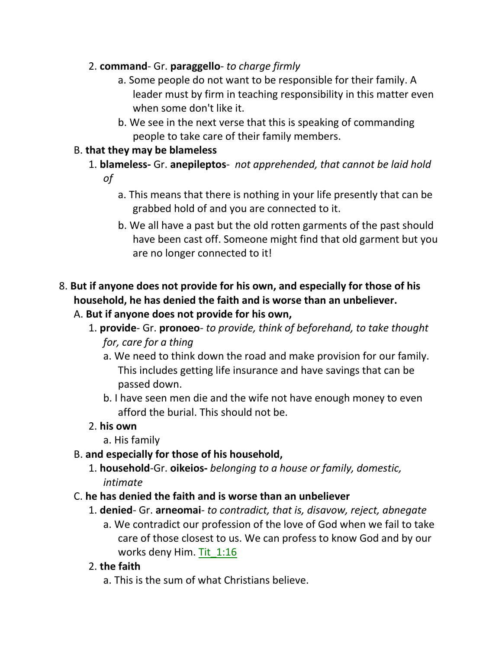### 2. **command**- Gr. **paraggello**- *to charge firmly*

- a. Some people do not want to be responsible for their family. A leader must by firm in teaching responsibility in this matter even when some don't like it.
- b. We see in the next verse that this is speaking of commanding people to take care of their family members.

## B. **that they may be blameless**

- 1. **blameless-** Gr. **anepileptos** *not apprehended, that cannot be laid hold of*
	- a. This means that there is nothing in your life presently that can be grabbed hold of and you are connected to it.
	- b. We all have a past but the old rotten garments of the past should have been cast off. Someone might find that old garment but you are no longer connected to it!

# 8. **But if anyone does not provide for his own, and especially for those of his household, he has denied the faith and is worse than an unbeliever.**

- A. **But if anyone does not provide for his own,**
	- 1. **provide** Gr. **pronoeo** *to provide, think of beforehand, to take thought for, care for a thing*
		- a. We need to think down the road and make provision for our family. This includes getting life insurance and have savings that can be passed down.
		- b. I have seen men die and the wife not have enough money to even afford the burial. This should not be.
	- 2. **his own**
		- a. His family
- B. **and especially for those of his household,**
	- 1. **household**-Gr. **oikeios-** *belonging to a house or family, domestic, intimate*
- C. **he has denied the faith and is worse than an unbeliever**
	- 1. **denied** Gr. **arneomai** *to contradict, that is, disavow, reject, abnegate* a. We contradict our profession of the love of God when we fail to take care of those closest to us. We can profess to know God and by our works deny Him. Tit 1:16
	- 2. **the faith**
		- a. This is the sum of what Christians believe.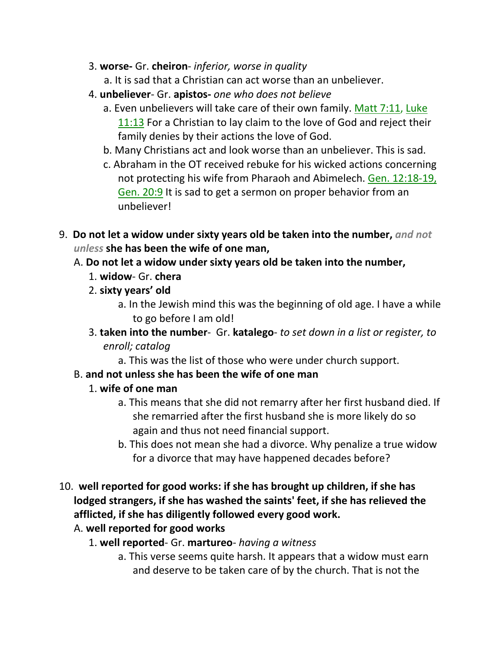- 3. **worse-** Gr. **cheiron** *inferior, worse in quality*
	- a. It is sad that a Christian can act worse than an unbeliever.
- 4. **unbeliever** Gr. **apistos-** *one who does not believe*
	- a. Even unbelievers will take care of their own family. Matt 7:11, Luke 11:13 For a Christian to lay claim to the love of God and reject their family denies by their actions the love of God.
	- b. Many Christians act and look worse than an unbeliever. This is sad.
	- c. Abraham in the OT received rebuke for his wicked actions concerning not protecting his wife from Pharaoh and Abimelech. Gen. 12:18-19, Gen. 20:9 It is sad to get a sermon on proper behavior from an unbeliever!
- 9. **Do not let a widow under sixty years old be taken into the number,** *and not unless* **she has been the wife of one man,** 
	- A. **Do not let a widow under sixty years old be taken into the number,**
		- 1. **widow** Gr. **chera**
		- 2. **sixty years' old**
			- a. In the Jewish mind this was the beginning of old age. I have a while to go before I am old!
		- 3. **taken into the number** Gr. **katalego** *to set down in a list or register, to enroll; catalog*
			- a. This was the list of those who were under church support.

### B. **and not unless she has been the wife of one man**

### 1. **wife of one man**

- a. This means that she did not remarry after her first husband died. If she remarried after the first husband she is more likely do so again and thus not need financial support.
- b. This does not mean she had a divorce. Why penalize a true widow for a divorce that may have happened decades before?
- 10. **well reported for good works: if she has brought up children, if she has lodged strangers, if she has washed the saints' feet, if she has relieved the afflicted, if she has diligently followed every good work.**

### A. **well reported for good works**

- 1. **well reported** Gr. **martureo** *having a witness*
	- a. This verse seems quite harsh. It appears that a widow must earn and deserve to be taken care of by the church. That is not the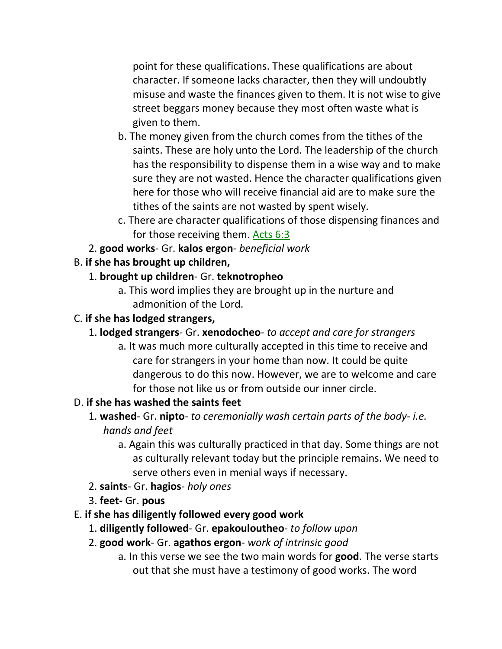point for these qualifications. These qualifications are about character. If someone lacks character, then they will undoubtly misuse and waste the finances given to them. It is not wise to give street beggars money because they most often waste what is given to them.

- b. The money given from the church comes from the tithes of the saints. These are holy unto the Lord. The leadership of the church has the responsibility to dispense them in a wise way and to make sure they are not wasted. Hence the character qualifications given here for those who will receive financial aid are to make sure the tithes of the saints are not wasted by spent wisely.
- c. There are character qualifications of those dispensing finances and for those receiving them. Acts 6:3
- 2. **good works** Gr. **kalos ergon** *beneficial work*

# B. **if she has brought up children,**

# 1. **brought up children**- Gr. **teknotropheo**

a. This word implies they are brought up in the nurture and admonition of the Lord.

# C. **if she has lodged strangers,**

# 1. **lodged strangers**- Gr. **xenodocheo**- *to accept and care for strangers*

a. It was much more culturally accepted in this time to receive and care for strangers in your home than now. It could be quite dangerous to do this now. However, we are to welcome and care for those not like us or from outside our inner circle.

# D. **if she has washed the saints feet**

- 1. **washed** Gr. **nipto** *to ceremonially wash certain parts of the body- i.e. hands and feet*
	- a. Again this was culturally practiced in that day. Some things are not as culturally relevant today but the principle remains. We need to serve others even in menial ways if necessary.
- 2. **saints** Gr. **hagios** *holy ones*
- 3. **feet-** Gr. **pous**

# E. **if she has diligently followed every good work**

- 1. **diligently followed** Gr. **epakouloutheo** *to follow upon*
- 2. **good work** Gr. **agathos ergon** *work of intrinsic good*
	- a. In this verse we see the two main words for **good**. The verse starts out that she must have a testimony of good works. The word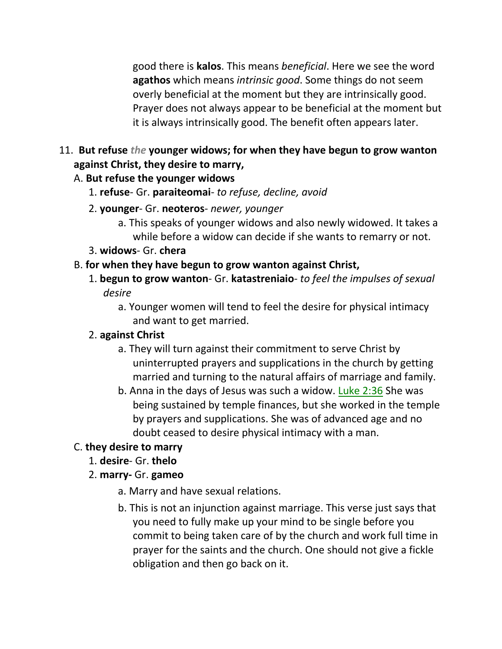good there is **kalos**. This means *beneficial*. Here we see the word **agathos** which means *intrinsic good*. Some things do not seem overly beneficial at the moment but they are intrinsically good. Prayer does not always appear to be beneficial at the moment but it is always intrinsically good. The benefit often appears later.

# 11. **But refuse** *the* **younger widows; for when they have begun to grow wanton against Christ, they desire to marry,**

### A. **But refuse the younger widows**

- 1. **refuse** Gr. **paraiteomai** *to refuse, decline, avoid*
- 2. **younger** Gr. **neoteros** *newer, younger*
	- a. This speaks of younger widows and also newly widowed. It takes a while before a widow can decide if she wants to remarry or not.
- 3. **widows** Gr. **chera**

## B. **for when they have begun to grow wanton against Christ,**

- 1. **begun to grow wanton** Gr. **katastreniaio** *to feel the impulses of sexual desire*
	- a. Younger women will tend to feel the desire for physical intimacy and want to get married.

# 2. **against Christ**

- a. They will turn against their commitment to serve Christ by uninterrupted prayers and supplications in the church by getting married and turning to the natural affairs of marriage and family.
- b. Anna in the days of Jesus was such a widow. Luke 2:36 She was being sustained by temple finances, but she worked in the temple by prayers and supplications. She was of advanced age and no doubt ceased to desire physical intimacy with a man.

# C. **they desire to marry**

1. **desire**- Gr. **thelo**

# 2. **marry-** Gr. **gameo**

- a. Marry and have sexual relations.
- b. This is not an injunction against marriage. This verse just says that you need to fully make up your mind to be single before you commit to being taken care of by the church and work full time in prayer for the saints and the church. One should not give a fickle obligation and then go back on it.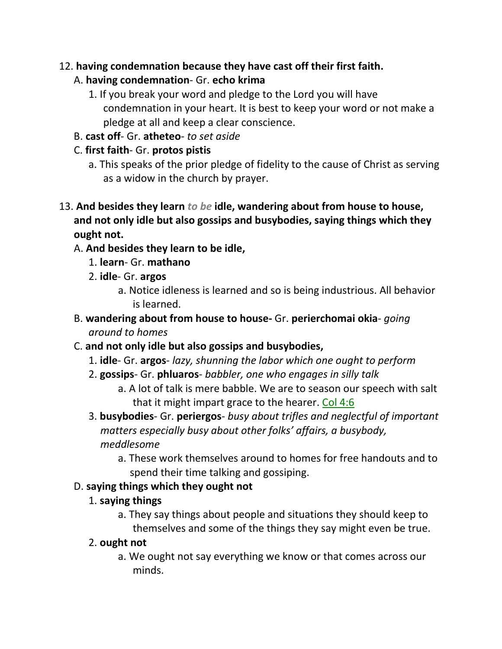### 12. **having condemnation because they have cast off their first faith.**

### A. **having condemnation**- Gr. **echo krima**

- 1. If you break your word and pledge to the Lord you will have condemnation in your heart. It is best to keep your word or not make a pledge at all and keep a clear conscience.
- B. **cast off** Gr. **atheteo** *to set aside*

# C. **first faith**- Gr. **protos pistis**

- a. This speaks of the prior pledge of fidelity to the cause of Christ as serving as a widow in the church by prayer.
- 13. **And besides they learn** *to be* **idle, wandering about from house to house, and not only idle but also gossips and busybodies, saying things which they ought not.**

# A. **And besides they learn to be idle,**

- 1. **learn** Gr. **mathano**
- 2. **idle** Gr. **argos**
	- a. Notice idleness is learned and so is being industrious. All behavior is learned.
- B. **wandering about from house to house-** Gr. **perierchomai okia** *going around to homes*
- C. **and not only idle but also gossips and busybodies,** 
	- 1. **idle** Gr. **argos** *lazy, shunning the labor which one ought to perform*
	- 2. **gossips** Gr. **phluaros** *babbler, one who engages in silly talk*
		- a. A lot of talk is mere babble. We are to season our speech with salt that it might impart grace to the hearer. Col 4:6
	- 3. **busybodies** Gr. **periergos** *busy about trifles and neglectful of important matters especially busy about other folks' affairs, a busybody, meddlesome*
		- a. These work themselves around to homes for free handouts and to spend their time talking and gossiping.

# D. **saying things which they ought not**

### 1. **saying things**

a. They say things about people and situations they should keep to themselves and some of the things they say might even be true.

# 2. **ought not**

a. We ought not say everything we know or that comes across our minds.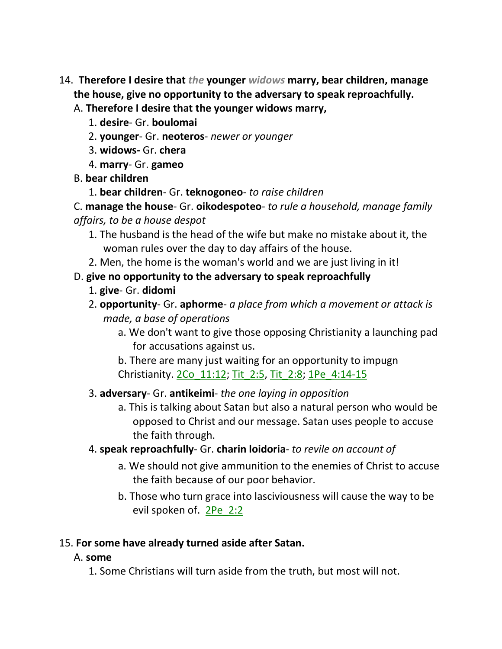- 14. **Therefore I desire that** *the* **younger** *widows* **marry, bear children, manage the house, give no opportunity to the adversary to speak reproachfully.** 
	- A. **Therefore I desire that the younger widows marry,**
		- 1. **desire** Gr. **boulomai**
		- 2. **younger** Gr. **neoteros** *newer or younger*
		- 3. **widows-** Gr. **chera**
		- 4. **marry** Gr. **gameo**
	- B. **bear children**
		- 1. **bear children** Gr. **teknogoneo** *to raise children*

C. **manage the house**- Gr. **oikodespoteo**- *to rule a household, manage family affairs, to be a house despot*

- 1. The husband is the head of the wife but make no mistake about it, the woman rules over the day to day affairs of the house.
- 2. Men, the home is the woman's world and we are just living in it!

### D. **give no opportunity to the adversary to speak reproachfully**

- 1. **give** Gr. **didomi**
- 2. **opportunity** Gr. **aphorme** *a place from which a movement or attack is made, a base of operations*
	- a. We don't want to give those opposing Christianity a launching pad for accusations against us.

b. There are many just waiting for an opportunity to impugn Christianity. 2Co\_11:12; Tit\_2:5, Tit\_2:8; 1Pe\_4:14-15

#### 3. **adversary**- Gr. **antikeimi**- *the one laying in opposition*

- a. This is talking about Satan but also a natural person who would be opposed to Christ and our message. Satan uses people to accuse the faith through.
- 4. **speak reproachfully** Gr. **charin loidoria** *to revile on account of*
	- a. We should not give ammunition to the enemies of Christ to accuse the faith because of our poor behavior.
	- b. Those who turn grace into lasciviousness will cause the way to be evil spoken of. 2Pe\_2:2

#### 15. **For some have already turned aside after Satan.**

#### A. **some**

1. Some Christians will turn aside from the truth, but most will not.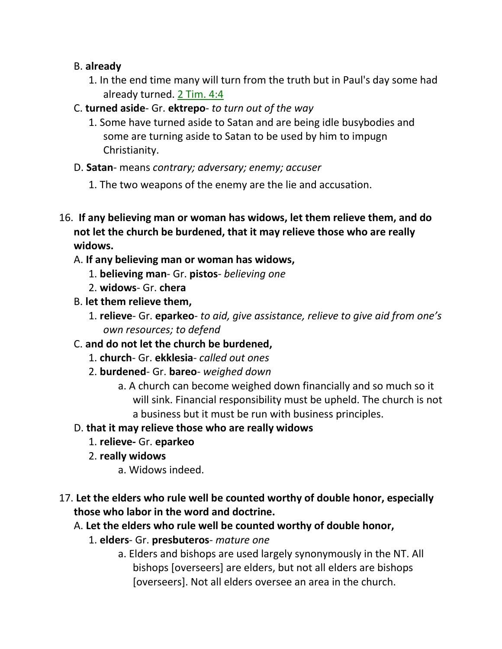#### B. **already**

- 1. In the end time many will turn from the truth but in Paul's day some had already turned. 2 Tim. 4:4
- C. **turned aside** Gr. **ektrepo** *to turn out of the way*
	- 1. Some have turned aside to Satan and are being idle busybodies and some are turning aside to Satan to be used by him to impugn Christianity.
- D. **Satan** means *contrary; adversary; enemy; accuser*
	- 1. The two weapons of the enemy are the lie and accusation.
- 16. **If any believing man or woman has widows, let them relieve them, and do not let the church be burdened, that it may relieve those who are really widows.** 
	- A. **If any believing man or woman has widows,**
		- 1. **believing man** Gr. **pistos** *believing one*
		- 2. **widows** Gr. **chera**
	- B. **let them relieve them,**
		- 1. **relieve** Gr. **eparkeo** *to aid, give assistance, relieve to give aid from one's own resources; to defend*
	- C. **and do not let the church be burdened,**
		- 1. **church** Gr. **ekklesia** *called out ones*
		- 2. **burdened** Gr. **bareo** *weighed down*
			- a. A church can become weighed down financially and so much so it will sink. Financial responsibility must be upheld. The church is not a business but it must be run with business principles.
	- D. **that it may relieve those who are really widows**
		- 1. **relieve-** Gr. **eparkeo**
		- 2. **really widows**
			- a. Widows indeed.
- 17. **Let the elders who rule well be counted worthy of double honor, especially those who labor in the word and doctrine.** 
	- A. **Let the elders who rule well be counted worthy of double honor,**
		- 1. **elders** Gr. **presbuteros** *mature one*
			- a. Elders and bishops are used largely synonymously in the NT. All bishops [overseers] are elders, but not all elders are bishops [overseers]. Not all elders oversee an area in the church.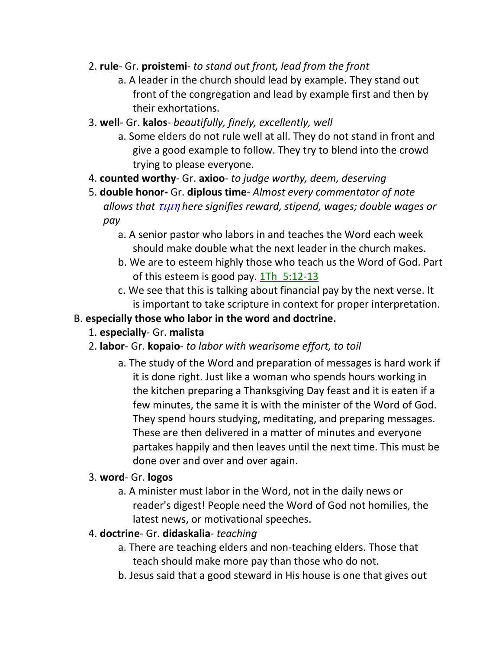- 2. **rule** Gr. **proistemi** *to stand out front, lead from the front*
	- a. A leader in the church should lead by example. They stand out front of the congregation and lead by example first and then by their exhortations.
- 3. **well** Gr. **kalos** *beautifully, finely, excellently, well*
	- a. Some elders do not rule well at all. They do not stand in front and give a good example to follow. They try to blend into the crowd trying to please everyone.
- 4. **counted worthy** Gr. **axioo** *to judge worthy, deem, deserving*
- 5. **double honor-** Gr. **diplous time** *Almost every commentator of note allows that* τιμη *here signifies reward, stipend, wages; double wages or pay*
	- a. A senior pastor who labors in and teaches the Word each week should make double what the next leader in the church makes.
	- b. We are to esteem highly those who teach us the Word of God. Part of this esteem is good pay.  $1Th$  5:12-13
	- c. We see that this is talking about financial pay by the next verse. It is important to take scripture in context for proper interpretation.
- B. **especially those who labor in the word and doctrine.**
	- 1. **especially** Gr. **malista**
	- 2. **labor** Gr. **kopaio** *to labor with wearisome effort, to toil*
		- a. The study of the Word and preparation of messages is hard work if it is done right. Just like a woman who spends hours working in the kitchen preparing a Thanksgiving Day feast and it is eaten if a few minutes, the same it is with the minister of the Word of God. They spend hours studying, meditating, and preparing messages. These are then delivered in a matter of minutes and everyone partakes happily and then leaves until the next time. This must be done over and over and over again.
	- 3. **word** Gr. **logos**
		- a. A minister must labor in the Word, not in the daily news or reader's digest! People need the Word of God not homilies, the latest news, or motivational speeches.
	- 4. **doctrine** Gr. **didaskalia** *teaching*
		- a. There are teaching elders and non-teaching elders. Those that teach should make more pay than those who do not.
		- b. Jesus said that a good steward in His house is one that gives out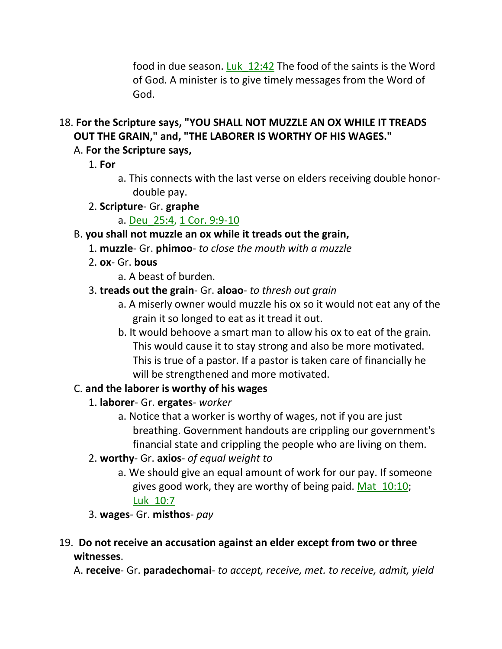food in due season. Luk\_12:42 The food of the saints is the Word of God. A minister is to give timely messages from the Word of God.

18. **For the Scripture says, "YOU SHALL NOT MUZZLE AN OX WHILE IT TREADS OUT THE GRAIN," and, "THE LABORER IS WORTHY OF HIS WAGES."** 

# A. **For the Scripture says,**

- 1. **For**
	- a. This connects with the last verse on elders receiving double honordouble pay.
- 2. **Scripture** Gr. **graphe**
	- a. Deu\_25:4, 1 Cor. 9:9-10

# B. **you shall not muzzle an ox while it treads out the grain,**

- 1. **muzzle** Gr. **phimoo** *to close the mouth with a muzzle*
- 2. **ox** Gr. **bous**
	- a. A beast of burden.

# 3. **treads out the grain**- Gr. **aloao**- *to thresh out grain*

- a. A miserly owner would muzzle his ox so it would not eat any of the grain it so longed to eat as it tread it out.
- b. It would behoove a smart man to allow his ox to eat of the grain. This would cause it to stay strong and also be more motivated. This is true of a pastor. If a pastor is taken care of financially he will be strengthened and more motivated.

# C. **and the laborer is worthy of his wages**

- 1. **laborer** Gr. **ergates** *worker*
	- a. Notice that a worker is worthy of wages, not if you are just breathing. Government handouts are crippling our government's financial state and crippling the people who are living on them.
- 2. **worthy** Gr. **axios** *of equal weight to*
	- a. We should give an equal amount of work for our pay. If someone gives good work, they are worthy of being paid. Mat\_10:10; Luk\_10:7
- 3. **wages** Gr. **misthos** *pay*

# 19. **Do not receive an accusation against an elder except from two or three witnesses**.

A. **receive**- Gr. **paradechomai**- *to accept, receive, met. to receive, admit, yield*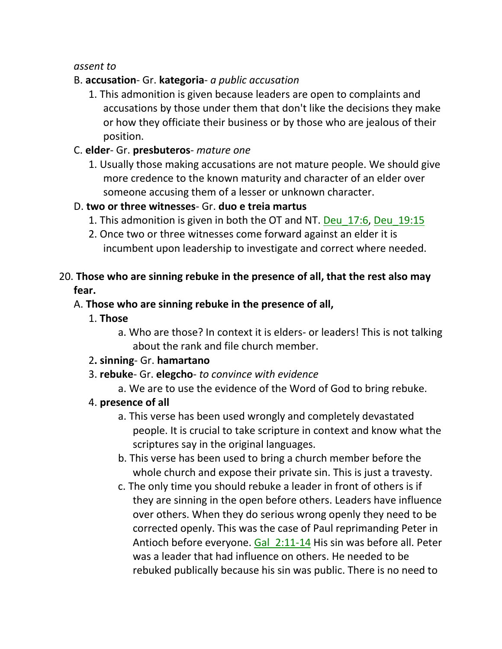#### *assent to*

## B. **accusation**- Gr. **kategoria**- *a public accusation*

1. This admonition is given because leaders are open to complaints and accusations by those under them that don't like the decisions they make or how they officiate their business or by those who are jealous of their position.

#### C. **elder**- Gr. **presbuteros**- *mature one*

1. Usually those making accusations are not mature people. We should give more credence to the known maturity and character of an elder over someone accusing them of a lesser or unknown character.

#### D. **two or three witnesses**- Gr. **duo e treia martus**

- 1. This admonition is given in both the OT and NT. Deu\_17:6, Deu\_19:15
- 2. Once two or three witnesses come forward against an elder it is incumbent upon leadership to investigate and correct where needed.

### 20. **Those who are sinning rebuke in the presence of all, that the rest also may fear.**

### A. **Those who are sinning rebuke in the presence of all,**

1. **Those**

a. Who are those? In context it is elders- or leaders! This is not talking about the rank and file church member.

#### 2**. sinning**- Gr. **hamartano**

- 3. **rebuke** Gr. **elegcho** *to convince with evidence*
	- a. We are to use the evidence of the Word of God to bring rebuke.

#### 4. **presence of all**

- a. This verse has been used wrongly and completely devastated people. It is crucial to take scripture in context and know what the scriptures say in the original languages.
- b. This verse has been used to bring a church member before the whole church and expose their private sin. This is just a travesty.
- c. The only time you should rebuke a leader in front of others is if they are sinning in the open before others. Leaders have influence over others. When they do serious wrong openly they need to be corrected openly. This was the case of Paul reprimanding Peter in Antioch before everyone. Gal 2:11-14 His sin was before all. Peter was a leader that had influence on others. He needed to be rebuked publically because his sin was public. There is no need to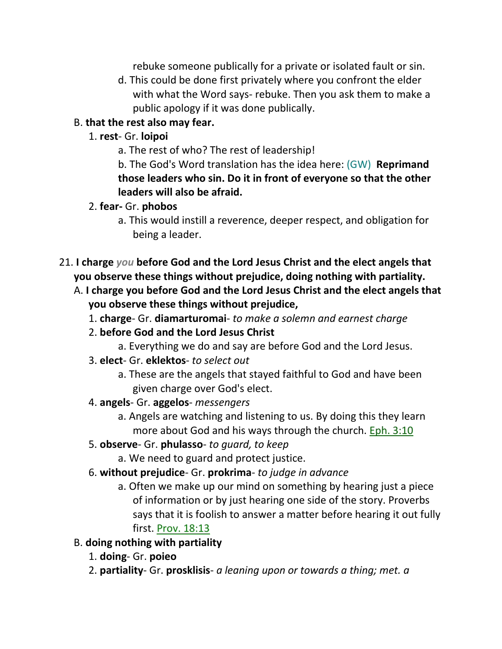rebuke someone publically for a private or isolated fault or sin.

d. This could be done first privately where you confront the elder with what the Word says- rebuke. Then you ask them to make a public apology if it was done publically.

## B. **that the rest also may fear.**

- 1. **rest** Gr. **loipoi**
	- a. The rest of who? The rest of leadership!

b. The God's Word translation has the idea here: (GW) **Reprimand those leaders who sin. Do it in front of everyone so that the other leaders will also be afraid.** 

## 2. **fear-** Gr. **phobos**

- a. This would instill a reverence, deeper respect, and obligation for being a leader.
- 21. **I charge** *you* **before God and the Lord Jesus Christ and the elect angels that you observe these things without prejudice, doing nothing with partiality.** 
	- A. **I charge you before God and the Lord Jesus Christ and the elect angels that you observe these things without prejudice,**
		- 1. **charge** Gr. **diamarturomai** *to make a solemn and earnest charge*
		- 2. **before God and the Lord Jesus Christ**
			- a. Everything we do and say are before God and the Lord Jesus.
		- 3. **elect** Gr. **eklektos** *to select out*
			- a. These are the angels that stayed faithful to God and have been given charge over God's elect.
		- 4. **angels** Gr. **aggelos** *messengers*
			- a. Angels are watching and listening to us. By doing this they learn more about God and his ways through the church. Eph. 3:10
		- 5. **observe** Gr. **phulasso** *to guard, to keep*
			- a. We need to guard and protect justice.
		- 6. **without prejudice** Gr. **prokrima** *to judge in advance*
			- a. Often we make up our mind on something by hearing just a piece of information or by just hearing one side of the story. Proverbs says that it is foolish to answer a matter before hearing it out fully first. Prov. 18:13

# B. **doing nothing with partiality**

- 1. **doing** Gr. **poieo**
- 2. **partiality** Gr. **prosklisis** *a leaning upon or towards a thing; met. a*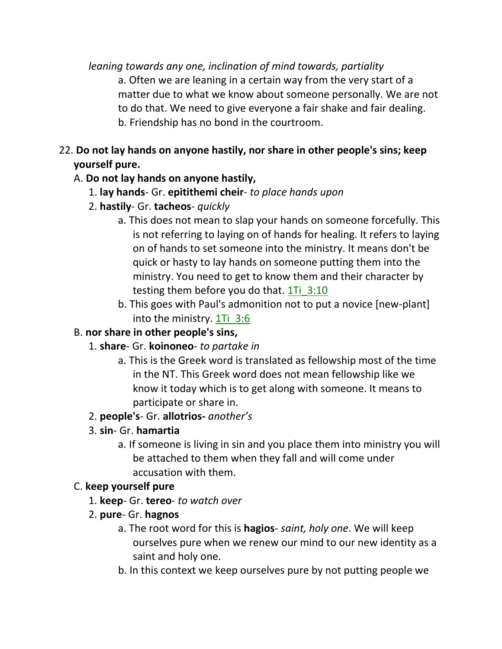*leaning towards any one, inclination of mind towards, partiality*

a. Often we are leaning in a certain way from the very start of a matter due to what we know about someone personally. We are not to do that. We need to give everyone a fair shake and fair dealing. b. Friendship has no bond in the courtroom.

# 22. **Do not lay hands on anyone hastily, nor share in other people's sins; keep yourself pure.**

## A. **Do not lay hands on anyone hastily,**

- 1. **lay hands** Gr. **epitithemi cheir** *to place hands upon*
- 2. **hastily** Gr. **tacheos** *quickly*
	- a. This does not mean to slap your hands on someone forcefully. This is not referring to laying on of hands for healing. It refers to laying on of hands to set someone into the ministry. It means don't be quick or hasty to lay hands on someone putting them into the ministry. You need to get to know them and their character by testing them before you do that.  $1Ti$   $3:10$
	- b. This goes with Paul's admonition not to put a novice [new-plant] into the ministry. 1Ti\_3:6

# B. **nor share in other people's sins,**

# 1. **share**- Gr. **koinoneo**- *to partake in*

a. This is the Greek word is translated as fellowship most of the time in the NT. This Greek word does not mean fellowship like we know it today which is to get along with someone. It means to participate or share in.

# 2. **people's**- Gr. **allotrios-** *another's*

- 3. **sin** Gr. **hamartia**
	- a. If someone is living in sin and you place them into ministry you will be attached to them when they fall and will come under accusation with them.

# C. **keep yourself pure**

- 1. **keep** Gr. **tereo** *to watch over*
- 2. **pure** Gr. **hagnos**
	- a. The root word for this is **hagios** *saint, holy one*. We will keep ourselves pure when we renew our mind to our new identity as a saint and holy one.
	- b. In this context we keep ourselves pure by not putting people we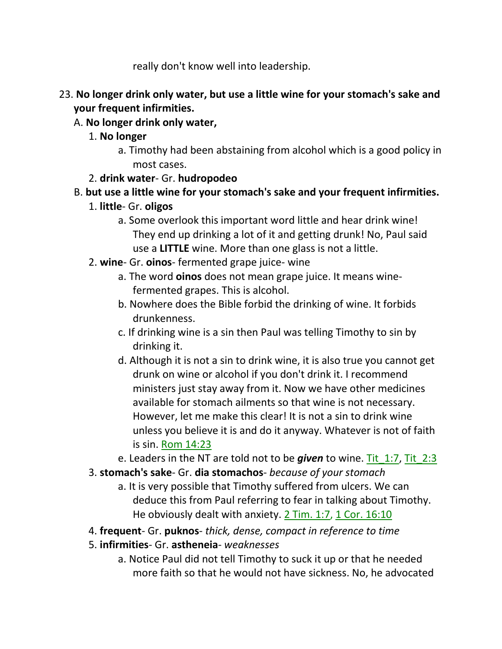really don't know well into leadership.

- 23. **No longer drink only water, but use a little wine for your stomach's sake and your frequent infirmities.** 
	- A. **No longer drink only water,**
		- 1. **No longer**
			- a. Timothy had been abstaining from alcohol which is a good policy in most cases.
		- 2. **drink water** Gr. **hudropodeo**
	- B. **but use a little wine for your stomach's sake and your frequent infirmities.**
		- 1. **little** Gr. **oligos**
			- a. Some overlook this important word little and hear drink wine! They end up drinking a lot of it and getting drunk! No, Paul said use a **LITTLE** wine. More than one glass is not a little.
		- 2. **wine** Gr. **oinos** fermented grape juice- wine
			- a. The word **oinos** does not mean grape juice. It means winefermented grapes. This is alcohol.
			- b. Nowhere does the Bible forbid the drinking of wine. It forbids drunkenness.
			- c. If drinking wine is a sin then Paul was telling Timothy to sin by drinking it.
			- d. Although it is not a sin to drink wine, it is also true you cannot get drunk on wine or alcohol if you don't drink it. I recommend ministers just stay away from it. Now we have other medicines available for stomach ailments so that wine is not necessary. However, let me make this clear! It is not a sin to drink wine unless you believe it is and do it anyway. Whatever is not of faith is sin. Rom 14:23
			- e. Leaders in the NT are told not to be *given* to wine. Tit\_1:7, Tit\_2:3
		- 3. **stomach's sake** Gr. **dia stomachos** *because of your stomach*
			- a. It is very possible that Timothy suffered from ulcers. We can deduce this from Paul referring to fear in talking about Timothy. He obviously dealt with anxiety. 2 Tim. 1:7, 1 Cor. 16:10
		- 4. **frequent** Gr. **puknos** *thick, dense, compact in reference to time*
		- 5. **infirmities** Gr. **astheneia** *weaknesses*
			- a. Notice Paul did not tell Timothy to suck it up or that he needed more faith so that he would not have sickness. No, he advocated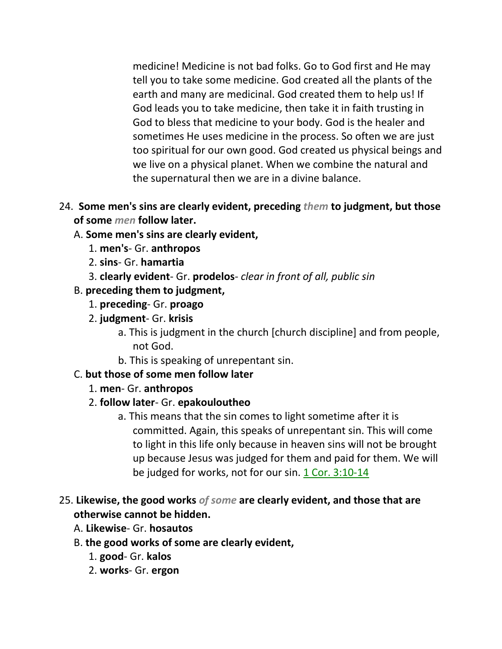medicine! Medicine is not bad folks. Go to God first and He may tell you to take some medicine. God created all the plants of the earth and many are medicinal. God created them to help us! If God leads you to take medicine, then take it in faith trusting in God to bless that medicine to your body. God is the healer and sometimes He uses medicine in the process. So often we are just too spiritual for our own good. God created us physical beings and we live on a physical planet. When we combine the natural and the supernatural then we are in a divine balance.

- 24. **Some men's sins are clearly evident, preceding** *them* **to judgment, but those of some** *men* **follow later.** 
	- A. **Some men's sins are clearly evident,**
		- 1. **men's** Gr. **anthropos**
		- 2. **sins** Gr. **hamartia**
		- 3. **clearly evident** Gr. **prodelos** *clear in front of all, public sin*
	- B. **preceding them to judgment,**
		- 1. **preceding** Gr. **proago**
		- 2. **judgment** Gr. **krisis**
			- a. This is judgment in the church [church discipline] and from people, not God.
			- b. This is speaking of unrepentant sin.
	- C. **but those of some men follow later**
		- 1. **men** Gr. **anthropos**
		- 2. **follow later** Gr. **epakouloutheo**
			- a. This means that the sin comes to light sometime after it is committed. Again, this speaks of unrepentant sin. This will come to light in this life only because in heaven sins will not be brought up because Jesus was judged for them and paid for them. We will be judged for works, not for our sin. 1 Cor. 3:10-14
- 25. **Likewise, the good works** *of some* **are clearly evident, and those that are otherwise cannot be hidden.** 
	- A. **Likewise** Gr. **hosautos**
	- B. **the good works of some are clearly evident,**
		- 1. **good** Gr. **kalos**
		- 2. **works** Gr. **ergon**